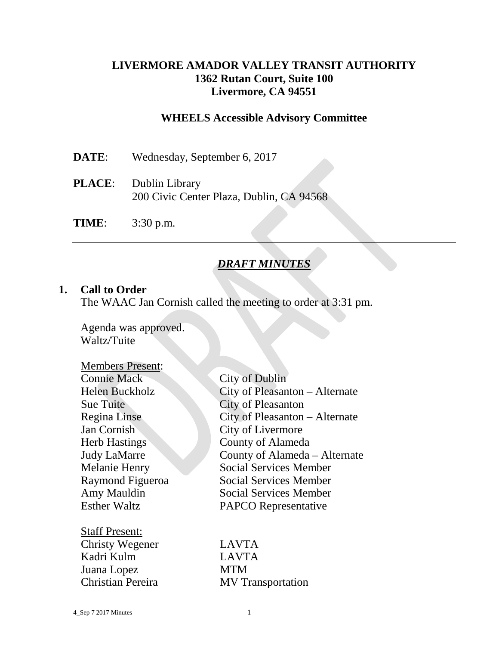### **LIVERMORE AMADOR VALLEY TRANSIT AUTHORITY 1362 Rutan Court, Suite 100 Livermore, CA 94551**

### **WHEELS Accessible Advisory Committee**

| <b>DATE:</b> | Wednesday, September 6, 2017                                             |
|--------------|--------------------------------------------------------------------------|
|              | <b>PLACE:</b> Dublin Library<br>200 Civic Center Plaza, Dublin, CA 94568 |
| TIME:        | $3:30$ p.m.                                                              |

## *DRAFT MINUTES*

#### **1. Call to Order**

The WAAC Jan Cornish called the meeting to order at 3:31 pm.

Agenda was approved. Waltz/Tuite

| <b>Members Present:</b> |                                |
|-------------------------|--------------------------------|
| <b>Connie Mack</b>      | <b>City of Dublin</b>          |
| Helen Buckholz          | City of Pleasanton - Alternate |
| <b>Sue Tuite</b>        | <b>City of Pleasanton</b>      |
| Regina Linse            | City of Pleasanton - Alternate |
| Jan Cornish             | City of Livermore              |
| <b>Herb Hastings</b>    | <b>County of Alameda</b>       |
| <b>Judy LaMarre</b>     | County of Alameda – Alternate  |
| Melanie Henry           | <b>Social Services Member</b>  |
| Raymond Figueroa        | <b>Social Services Member</b>  |
| Amy Mauldin             | <b>Social Services Member</b>  |
| <b>Esther Waltz</b>     | <b>PAPCO</b> Representative    |
| <b>Staff Present:</b>   |                                |
| Christy Wegener         | <b>LAVTA</b>                   |
| Kadri Kulm              | <b>LAVTA</b>                   |
| Juana Lopez             | <b>MTM</b>                     |
| Christian Pereira       | <b>MV</b> Transportation       |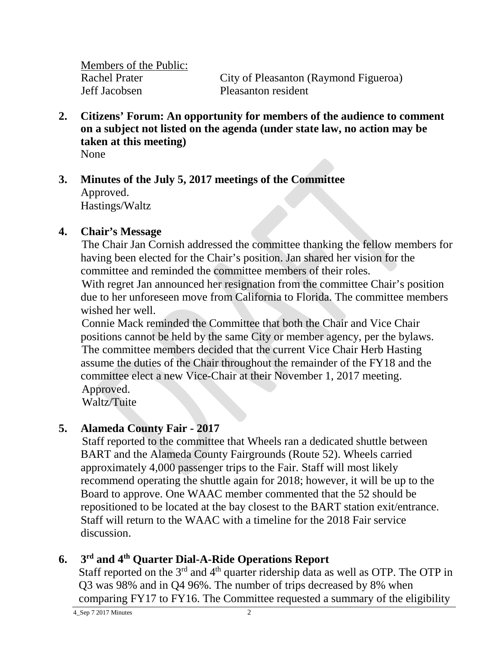**Members of the Public:**<br>Rachel Prater Jeff Jacobsen Pleasanton resident

City of Pleasanton (Raymond Figueroa)

- **2. Citizens' Forum: An opportunity for members of the audience to comment on a subject not listed on the agenda (under state law, no action may be taken at this meeting)** None
- **3. Minutes of the July 5, 2017 meetings of the Committee** Approved. Hastings/Waltz

#### **4. Chair's Message**

The Chair Jan Cornish addressed the committee thanking the fellow members for having been elected for the Chair's position. Jan shared her vision for the committee and reminded the committee members of their roles. With regret Jan announced her resignation from the committee Chair's position due to her unforeseen move from California to Florida. The committee members wished her well.

Connie Mack reminded the Committee that both the Chair and Vice Chair positions cannot be held by the same City or member agency, per the bylaws. The committee members decided that the current Vice Chair Herb Hasting assume the duties of the Chair throughout the remainder of the FY18 and the committee elect a new Vice-Chair at their November 1, 2017 meeting. Approved.

Waltz/Tuite

## **5. Alameda County Fair - 2017**

Staff reported to the committee that Wheels ran a dedicated shuttle between BART and the Alameda County Fairgrounds (Route 52). Wheels carried approximately 4,000 passenger trips to the Fair. Staff will most likely recommend operating the shuttle again for 2018; however, it will be up to the Board to approve. One WAAC member commented that the 52 should be repositioned to be located at the bay closest to the BART station exit/entrance. Staff will return to the WAAC with a timeline for the 2018 Fair service discussion.

# **6. 3rd and 4th Quarter Dial-A-Ride Operations Report**

Staff reported on the  $3<sup>rd</sup>$  and  $4<sup>th</sup>$  quarter ridership data as well as OTP. The OTP in Q3 was 98% and in Q4 96%. The number of trips decreased by 8% when comparing FY17 to FY16. The Committee requested a summary of the eligibility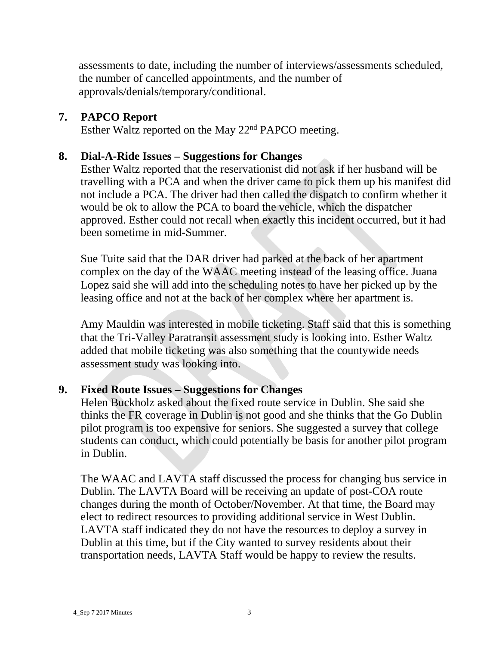assessments to date, including the number of interviews/assessments scheduled, the number of cancelled appointments, and the number of approvals/denials/temporary/conditional.

# **7. PAPCO Report**

Esther Waltz reported on the May 22nd PAPCO meeting.

# **8. Dial-A-Ride Issues – Suggestions for Changes**

Esther Waltz reported that the reservationist did not ask if her husband will be travelling with a PCA and when the driver came to pick them up his manifest did not include a PCA. The driver had then called the dispatch to confirm whether it would be ok to allow the PCA to board the vehicle, which the dispatcher approved. Esther could not recall when exactly this incident occurred, but it had been sometime in mid-Summer.

Sue Tuite said that the DAR driver had parked at the back of her apartment complex on the day of the WAAC meeting instead of the leasing office. Juana Lopez said she will add into the scheduling notes to have her picked up by the leasing office and not at the back of her complex where her apartment is.

Amy Mauldin was interested in mobile ticketing. Staff said that this is something that the Tri-Valley Paratransit assessment study is looking into. Esther Waltz added that mobile ticketing was also something that the countywide needs assessment study was looking into.

# **9. Fixed Route Issues – Suggestions for Changes**

Helen Buckholz asked about the fixed route service in Dublin. She said she thinks the FR coverage in Dublin is not good and she thinks that the Go Dublin pilot program is too expensive for seniors. She suggested a survey that college students can conduct, which could potentially be basis for another pilot program in Dublin.

The WAAC and LAVTA staff discussed the process for changing bus service in Dublin. The LAVTA Board will be receiving an update of post-COA route changes during the month of October/November. At that time, the Board may elect to redirect resources to providing additional service in West Dublin. LAVTA staff indicated they do not have the resources to deploy a survey in Dublin at this time, but if the City wanted to survey residents about their transportation needs, LAVTA Staff would be happy to review the results.